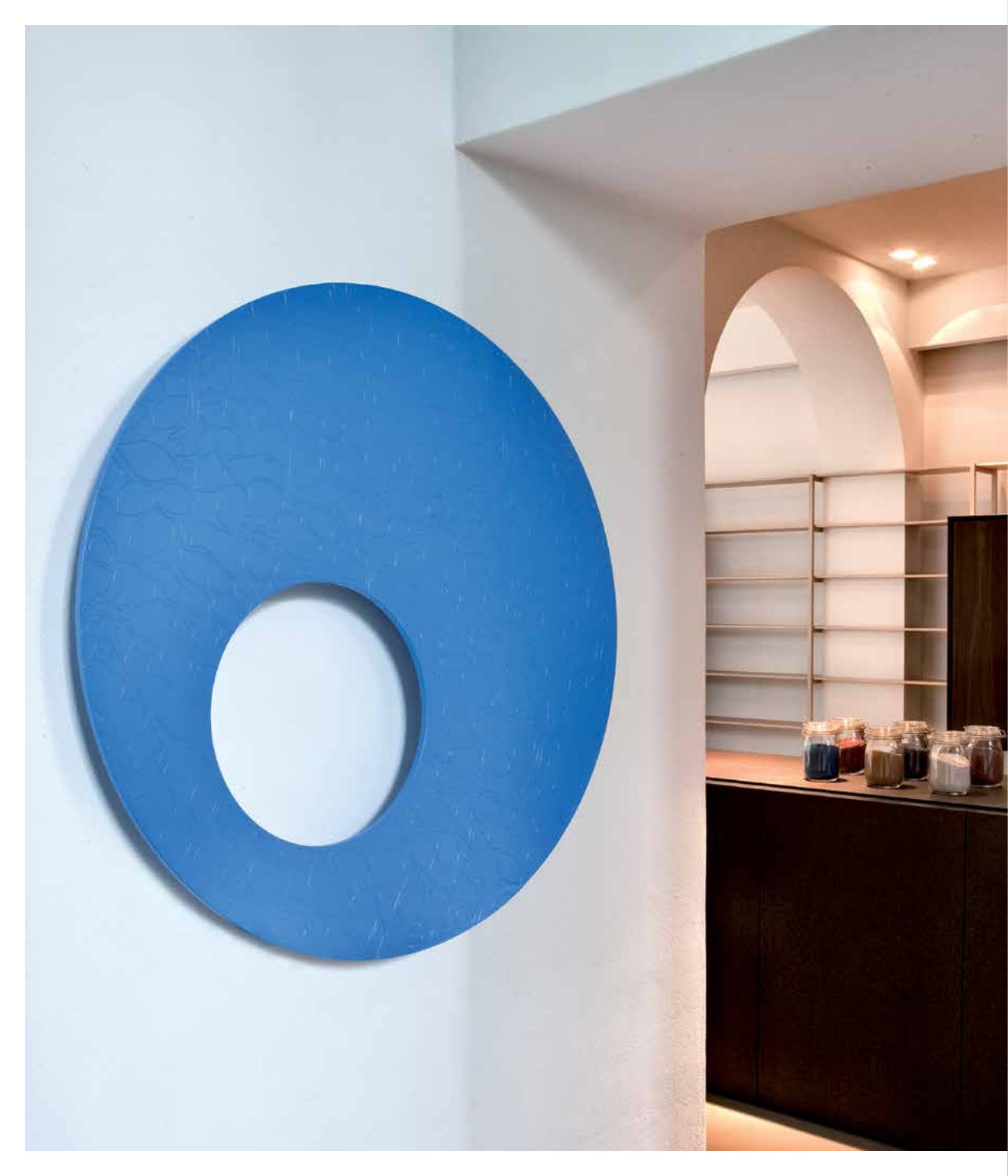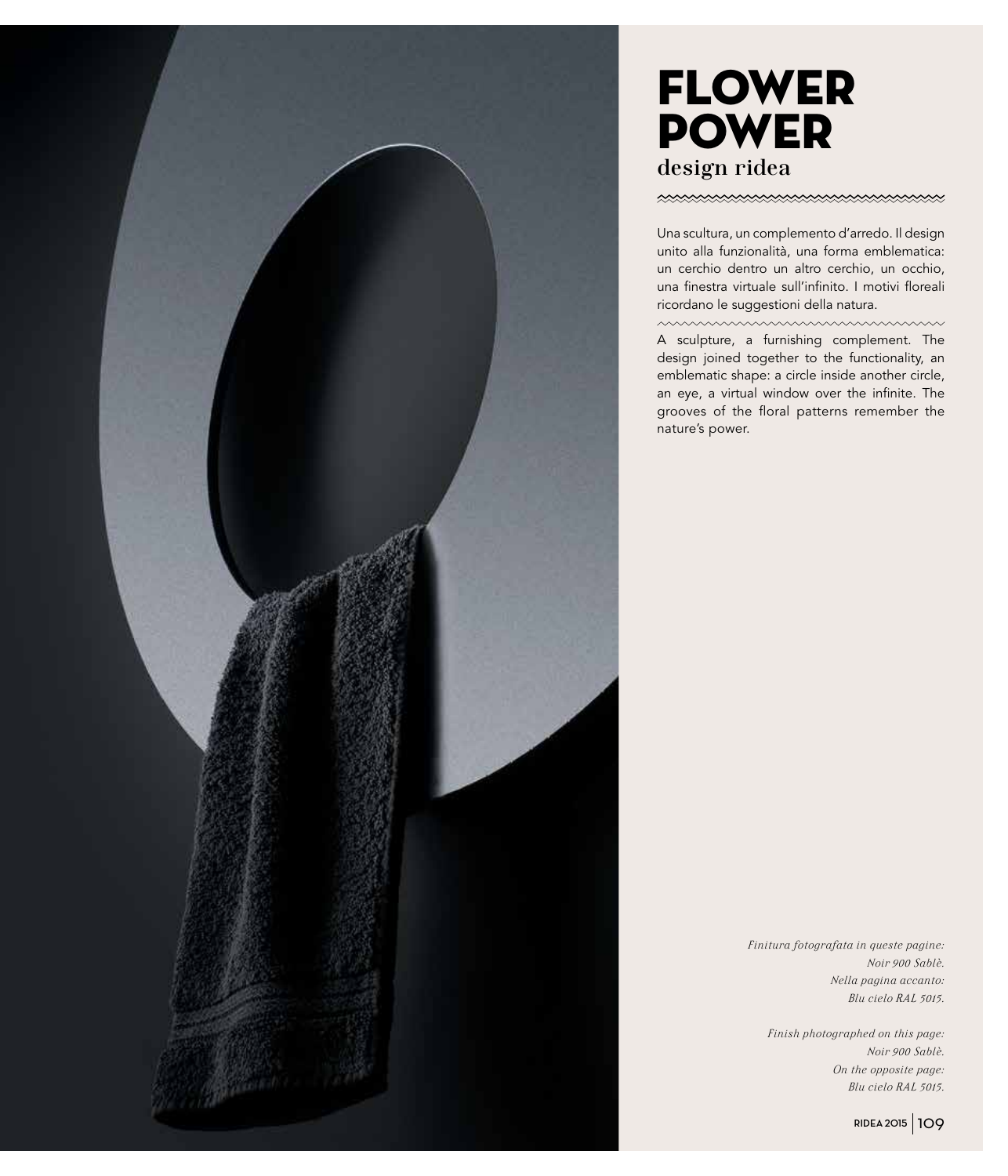

## flower power **design ridea**

## 

Una scultura, un complemento d'arredo. Il design unito alla funzionalità, una forma emblematica: un cerchio dentro un altro cerchio, un occhio, una finestra virtuale sull'infinito. I motivi floreali ricordano le suggestioni della natura.

*mmmmmmmmmmmm* A sculpture, a furnishing complement. The design joined together to the functionality, an emblematic shape: a circle inside another circle, an eye, a virtual window over the infinite. The grooves of the floral patterns remember the nature's power.

> *Finitura fotografata in queste pagine: Noir 900 Sablè. Nella pagina accanto: Blu cielo RAL 5015.*

> > *Finish photographed on this page: Noir 900 Sablè. On the opposite page: Blu cielo RAL 5015.*

> > > **RIDEA 2015** 109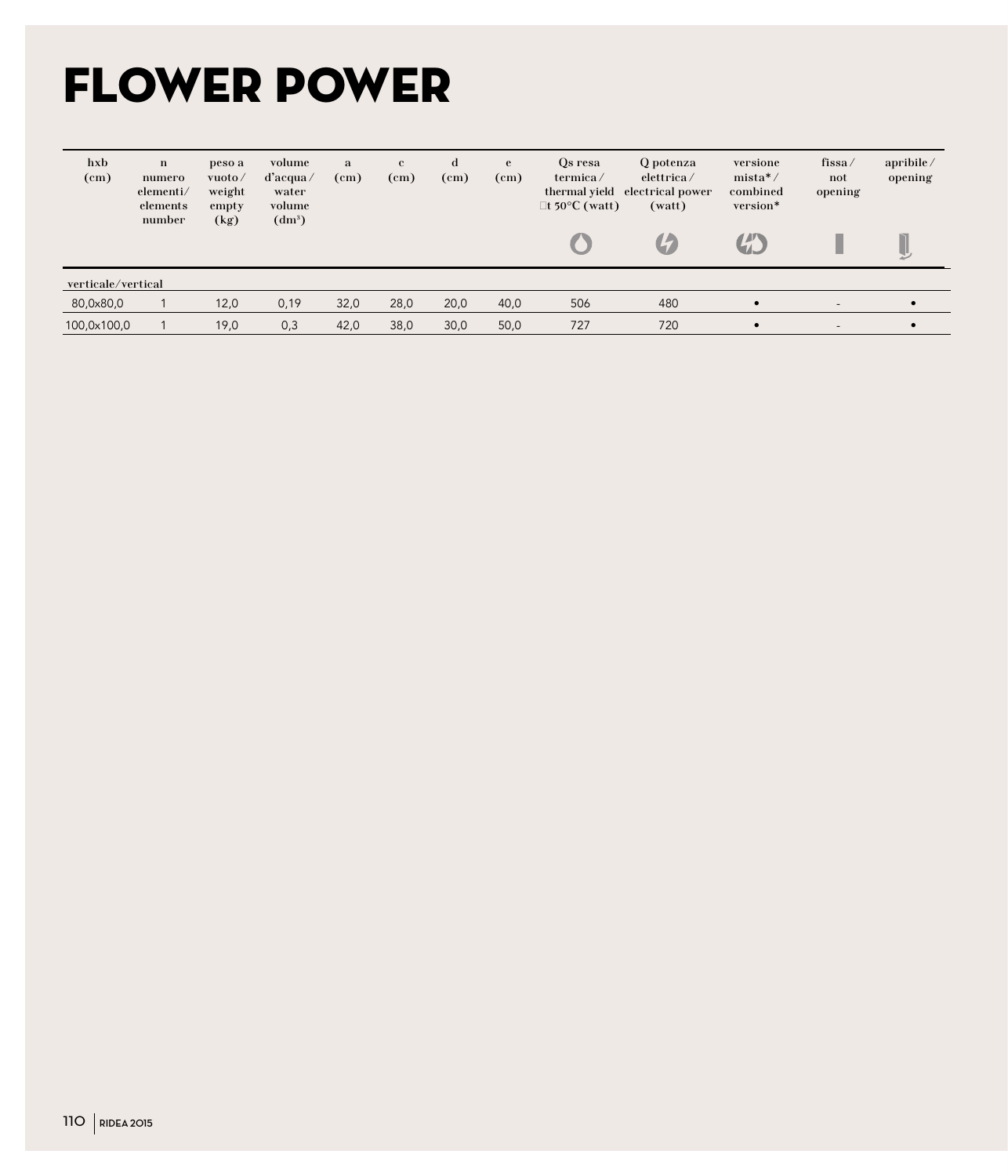## flower power

| hxb<br>(cm)        | $\mathbf n$<br>numero<br>elementi/<br>elements<br>number | peso a<br>vuoto/<br>weight<br>empty<br>(kg) | volume<br>d'acqua /<br>water<br>volume<br>(dm <sup>3</sup> ) | a<br>$\text{(cm)}$ | $\mathbf{c}$<br>$\text{(cm)}$ | d<br>$\text{(cm)}$ | e<br>$\text{(cm)}$ | Os resa<br>termica/<br>thermal yield<br>$\Box t$ 50 $\degree$ C (watt) | O potenza<br>elettrica/<br>electrical power<br>(watt) | versione<br>$mista*/$<br>combined<br>version* | fissa/<br>not<br>opening     | apribile/<br>opening |
|--------------------|----------------------------------------------------------|---------------------------------------------|--------------------------------------------------------------|--------------------|-------------------------------|--------------------|--------------------|------------------------------------------------------------------------|-------------------------------------------------------|-----------------------------------------------|------------------------------|----------------------|
|                    |                                                          |                                             |                                                              |                    |                               |                    |                    |                                                                        | $\boldsymbol{\mathcal{G}}$                            | 40                                            |                              |                      |
| verticale/vertical |                                                          |                                             |                                                              |                    |                               |                    |                    |                                                                        |                                                       |                                               |                              |                      |
| 80,0x80,0          |                                                          | 12,0                                        | 0,19                                                         | 32,0               | 28,0                          | 20,0               | 40,0               | 506                                                                    | 480                                                   | $\bullet$                                     | $\qquad \qquad \blacksquare$ | $\bullet$            |
| 100,0x100,0        |                                                          | 19,0                                        | 0,3                                                          | 42,0               | 38,0                          | 30,0               | 50,0               | 727                                                                    | 720                                                   | $\bullet$                                     | $\overline{\phantom{0}}$     | $\bullet$            |